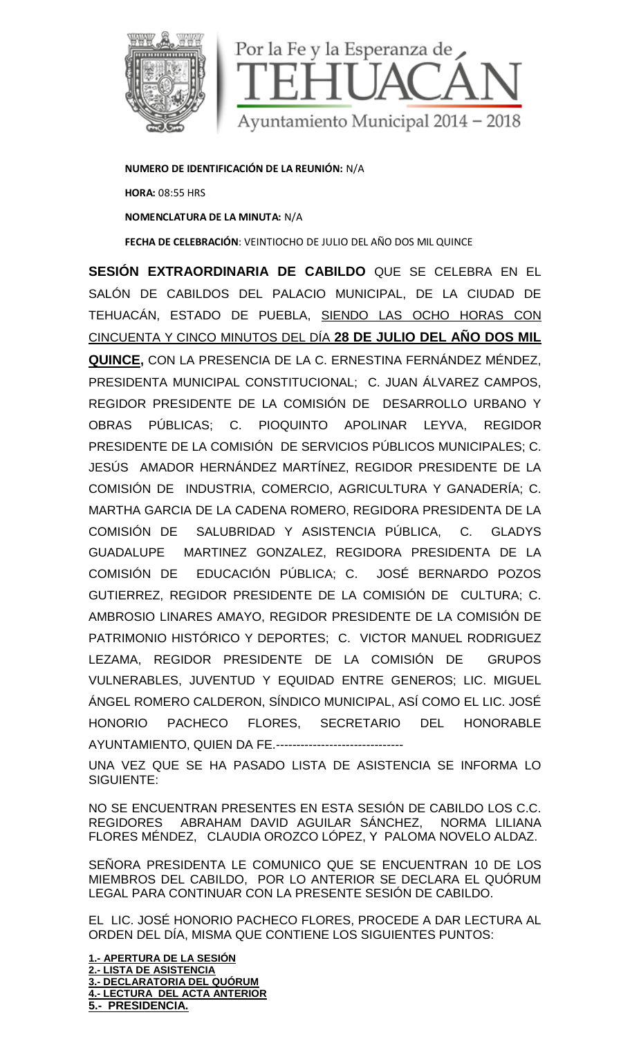

**NUMERO DE IDENTIFICACIÓN DE LA REUNIÓN:** N/A **HORA:** 08:55 HRS **NOMENCLATURA DE LA MINUTA:** N/A **FECHA DE CELEBRACIÓN**: VEINTIOCHO DE JULIO DEL AÑO DOS MIL QUINCE

**SESIÓN EXTRAORDINARIA DE CABILDO** QUE SE CELEBRA EN EL SALÓN DE CABILDOS DEL PALACIO MUNICIPAL, DE LA CIUDAD DE TEHUACÁN, ESTADO DE PUEBLA, SIENDO LAS OCHO HORAS CON CINCUENTA Y CINCO MINUTOS DEL DÍA **28 DE JULIO DEL AÑO DOS MIL QUINCE,** CON LA PRESENCIA DE LA C. ERNESTINA FERNÁNDEZ MÉNDEZ, PRESIDENTA MUNICIPAL CONSTITUCIONAL; C. JUAN ÁLVAREZ CAMPOS, REGIDOR PRESIDENTE DE LA COMISIÓN DE DESARROLLO URBANO Y OBRAS PÚBLICAS; C. PIOQUINTO APOLINAR LEYVA, REGIDOR PRESIDENTE DE LA COMISIÓN DE SERVICIOS PÚBLICOS MUNICIPALES; C. JESÚS AMADOR HERNÁNDEZ MARTÍNEZ, REGIDOR PRESIDENTE DE LA COMISIÓN DE INDUSTRIA, COMERCIO, AGRICULTURA Y GANADERÍA; C. MARTHA GARCIA DE LA CADENA ROMERO, REGIDORA PRESIDENTA DE LA COMISIÓN DE SALUBRIDAD Y ASISTENCIA PÚBLICA, C. GLADYS GUADALUPE MARTINEZ GONZALEZ, REGIDORA PRESIDENTA DE LA COMISIÓN DE EDUCACIÓN PÚBLICA; C. JOSÉ BERNARDO POZOS GUTIERREZ, REGIDOR PRESIDENTE DE LA COMISIÓN DE CULTURA; C. AMBROSIO LINARES AMAYO, REGIDOR PRESIDENTE DE LA COMISIÓN DE PATRIMONIO HISTÓRICO Y DEPORTES; C. VICTOR MANUEL RODRIGUEZ LEZAMA, REGIDOR PRESIDENTE DE LA COMISIÓN DE GRUPOS VULNERABLES, JUVENTUD Y EQUIDAD ENTRE GENEROS; LIC. MIGUEL ÁNGEL ROMERO CALDERON, SÍNDICO MUNICIPAL, ASÍ COMO EL LIC. JOSÉ HONORIO PACHECO FLORES, SECRETARIO DEL HONORABLE AYUNTAMIENTO, QUIEN DA FE.-------------------------------

UNA VEZ QUE SE HA PASADO LISTA DE ASISTENCIA SE INFORMA LO SIGUIENTE:

NO SE ENCUENTRAN PRESENTES EN ESTA SESIÓN DE CABILDO LOS C.C. REGIDORES ABRAHAM DAVID AGUILAR SÁNCHEZ, NORMA LILIANA FLORES MÉNDEZ, CLAUDIA OROZCO LÓPEZ, Y PALOMA NOVELO ALDAZ.

SEÑORA PRESIDENTA LE COMUNICO QUE SE ENCUENTRAN 10 DE LOS MIEMBROS DEL CABILDO, POR LO ANTERIOR SE DECLARA EL QUÓRUM LEGAL PARA CONTINUAR CON LA PRESENTE SESIÓN DE CABILDO.

EL LIC. JOSÉ HONORIO PACHECO FLORES, PROCEDE A DAR LECTURA AL ORDEN DEL DÍA, MISMA QUE CONTIENE LOS SIGUIENTES PUNTOS:

**1.- APERTURA DE LA SESIÓN 2.- LISTA DE ASISTENCIA 3.- DECLARATORIA DEL QUÓRUM 4.- LECTURA DEL ACTA ANTERIOR 5.- PRESIDENCIA.**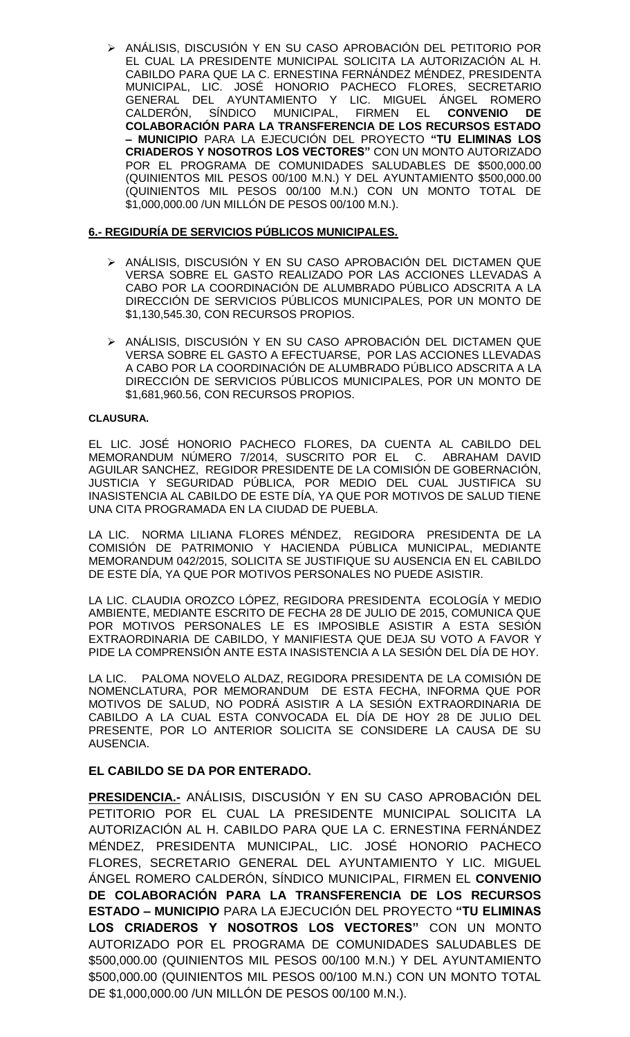ANÁLISIS, DISCUSIÓN Y EN SU CASO APROBACIÓN DEL PETITORIO POR EL CUAL LA PRESIDENTE MUNICIPAL SOLICITA LA AUTORIZACIÓN AL H. CABILDO PARA QUE LA C. ERNESTINA FERNÁNDEZ MÉNDEZ, PRESIDENTA MUNICIPAL, LIC. JOSÉ HONORIO PACHECO FLORES, SECRETARIO GENERAL DEL AYUNTAMIENTO Y LIC. MIGUEL ÁNGEL ROMERO CALDERÓN, SÍNDICO MUNICIPAL, FIRMEN EL **CONVENIO DE COLABORACIÓN PARA LA TRANSFERENCIA DE LOS RECURSOS ESTADO – MUNICIPIO** PARA LA EJECUCIÓN DEL PROYECTO **"TU ELIMINAS LOS CRIADEROS Y NOSOTROS LOS VECTORES"** CON UN MONTO AUTORIZADO POR EL PROGRAMA DE COMUNIDADES SALUDABLES DE \$500,000.00 (QUINIENTOS MIL PESOS 00/100 M.N.) Y DEL AYUNTAMIENTO \$500,000.00 (QUINIENTOS MIL PESOS 00/100 M.N.) CON UN MONTO TOTAL DE \$1,000,000.00 /UN MILLÓN DE PESOS 00/100 M.N.).

### **6.- REGIDURÍA DE SERVICIOS PÚBLICOS MUNICIPALES.**

- > ANÁLISIS, DISCUSIÓN Y EN SU CASO APROBACIÓN DEL DICTAMEN QUE VERSA SOBRE EL GASTO REALIZADO POR LAS ACCIONES LLEVADAS A CABO POR LA COORDINACIÓN DE ALUMBRADO PÚBLICO ADSCRITA A LA DIRECCIÓN DE SERVICIOS PÚBLICOS MUNICIPALES, POR UN MONTO DE \$1,130,545.30, CON RECURSOS PROPIOS.
- ANÁLISIS, DISCUSIÓN Y EN SU CASO APROBACIÓN DEL DICTAMEN QUE VERSA SOBRE EL GASTO A EFECTUARSE, POR LAS ACCIONES LLEVADAS A CABO POR LA COORDINACIÓN DE ALUMBRADO PÚBLICO ADSCRITA A LA DIRECCIÓN DE SERVICIOS PÚBLICOS MUNICIPALES, POR UN MONTO DE \$1,681,960.56, CON RECURSOS PROPIOS.

#### **CLAUSURA.**

EL LIC. JOSÉ HONORIO PACHECO FLORES, DA CUENTA AL CABILDO DEL MEMORANDUM NÚMERO 7/2014, SUSCRITO POR EL C. ABRAHAM DAVID AGUILAR SANCHEZ, REGIDOR PRESIDENTE DE LA COMISIÓN DE GOBERNACIÓN, JUSTICIA Y SEGURIDAD PÚBLICA, POR MEDIO DEL CUAL JUSTIFICA SU INASISTENCIA AL CABILDO DE ESTE DÍA, YA QUE POR MOTIVOS DE SALUD TIENE UNA CITA PROGRAMADA EN LA CIUDAD DE PUEBLA.

LA LIC. NORMA LILIANA FLORES MÉNDEZ, REGIDORA PRESIDENTA DE LA COMISIÓN DE PATRIMONIO Y HACIENDA PÚBLICA MUNICIPAL, MEDIANTE MEMORANDUM 042/2015, SOLICITA SE JUSTIFIQUE SU AUSENCIA EN EL CABILDO DE ESTE DÍA, YA QUE POR MOTIVOS PERSONALES NO PUEDE ASISTIR.

LA LIC. CLAUDIA OROZCO LÓPEZ, REGIDORA PRESIDENTA ECOLOGÍA Y MEDIO AMBIENTE, MEDIANTE ESCRITO DE FECHA 28 DE JULIO DE 2015, COMUNICA QUE POR MOTIVOS PERSONALES LE ES IMPOSIBLE ASISTIR A ESTA SESIÓN EXTRAORDINARIA DE CABILDO, Y MANIFIESTA QUE DEJA SU VOTO A FAVOR Y PIDE LA COMPRENSIÓN ANTE ESTA INASISTENCIA A LA SESIÓN DEL DÍA DE HOY.

LA LIC. PALOMA NOVELO ALDAZ, REGIDORA PRESIDENTA DE LA COMISIÓN DE NOMENCLATURA, POR MEMORANDUM DE ESTA FECHA, INFORMA QUE POR MOTIVOS DE SALUD, NO PODRÁ ASISTIR A LA SESIÓN EXTRAORDINARIA DE CABILDO A LA CUAL ESTA CONVOCADA EL DÍA DE HOY 28 DE JULIO DEL PRESENTE, POR LO ANTERIOR SOLICITA SE CONSIDERE LA CAUSA DE SU AUSENCIA.

## **EL CABILDO SE DA POR ENTERADO.**

**PRESIDENCIA.-** ANÁLISIS, DISCUSIÓN Y EN SU CASO APROBACIÓN DEL PETITORIO POR EL CUAL LA PRESIDENTE MUNICIPAL SOLICITA LA AUTORIZACIÓN AL H. CABILDO PARA QUE LA C. ERNESTINA FERNÁNDEZ MÉNDEZ, PRESIDENTA MUNICIPAL, LIC. JOSÉ HONORIO PACHECO FLORES, SECRETARIO GENERAL DEL AYUNTAMIENTO Y LIC. MIGUEL ÁNGEL ROMERO CALDERÓN, SÍNDICO MUNICIPAL, FIRMEN EL **CONVENIO DE COLABORACIÓN PARA LA TRANSFERENCIA DE LOS RECURSOS ESTADO – MUNICIPIO** PARA LA EJECUCIÓN DEL PROYECTO **"TU ELIMINAS LOS CRIADEROS Y NOSOTROS LOS VECTORES"** CON UN MONTO AUTORIZADO POR EL PROGRAMA DE COMUNIDADES SALUDABLES DE \$500,000.00 (QUINIENTOS MIL PESOS 00/100 M.N.) Y DEL AYUNTAMIENTO \$500,000.00 (QUINIENTOS MIL PESOS 00/100 M.N.) CON UN MONTO TOTAL DE \$1,000,000.00 /UN MILLÓN DE PESOS 00/100 M.N.).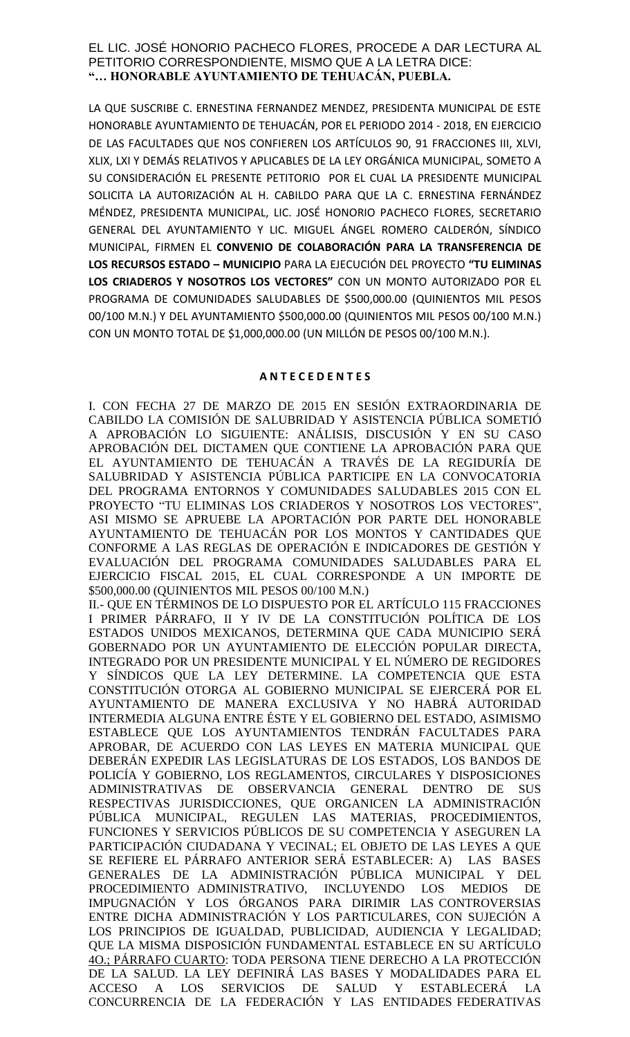### EL LIC. JOSÉ HONORIO PACHECO FLORES, PROCEDE A DAR LECTURA AL PETITORIO CORRESPONDIENTE, MISMO QUE A LA LETRA DICE: **"… HONORABLE AYUNTAMIENTO DE TEHUACÁN, PUEBLA.**

LA QUE SUSCRIBE C. ERNESTINA FERNANDEZ MENDEZ, PRESIDENTA MUNICIPAL DE ESTE HONORABLE AYUNTAMIENTO DE TEHUACÁN, POR EL PERIODO 2014 - 2018, EN EJERCICIO DE LAS FACULTADES QUE NOS CONFIEREN LOS ARTÍCULOS 90, 91 FRACCIONES III, XLVI, XLIX, LXI Y DEMÁS RELATIVOS Y APLICABLES DE LA LEY ORGÁNICA MUNICIPAL, SOMETO A SU CONSIDERACIÓN EL PRESENTE PETITORIO POR EL CUAL LA PRESIDENTE MUNICIPAL SOLICITA LA AUTORIZACIÓN AL H. CABILDO PARA QUE LA C. ERNESTINA FERNÁNDEZ MÉNDEZ, PRESIDENTA MUNICIPAL, LIC. JOSÉ HONORIO PACHECO FLORES, SECRETARIO GENERAL DEL AYUNTAMIENTO Y LIC. MIGUEL ÁNGEL ROMERO CALDERÓN, SÍNDICO MUNICIPAL, FIRMEN EL **CONVENIO DE COLABORACIÓN PARA LA TRANSFERENCIA DE LOS RECURSOS ESTADO – MUNICIPIO** PARA LA EJECUCIÓN DEL PROYECTO **"TU ELIMINAS LOS CRIADEROS Y NOSOTROS LOS VECTORES"** CON UN MONTO AUTORIZADO POR EL PROGRAMA DE COMUNIDADES SALUDABLES DE \$500,000.00 (QUINIENTOS MIL PESOS 00/100 M.N.) Y DEL AYUNTAMIENTO \$500,000.00 (QUINIENTOS MIL PESOS 00/100 M.N.) CON UN MONTO TOTAL DE \$1,000,000.00 (UN MILLÓN DE PESOS 00/100 M.N.).

### **A N T E C E D E N T E S**

I. CON FECHA 27 DE MARZO DE 2015 EN SESIÓN EXTRAORDINARIA DE CABILDO LA COMISIÓN DE SALUBRIDAD Y ASISTENCIA PÚBLICA SOMETIÓ A APROBACIÓN LO SIGUIENTE: ANÁLISIS, DISCUSIÓN Y EN SU CASO APROBACIÓN DEL DICTAMEN QUE CONTIENE LA APROBACIÓN PARA QUE EL AYUNTAMIENTO DE TEHUACÁN A TRAVÉS DE LA REGIDURÍA DE SALUBRIDAD Y ASISTENCIA PÚBLICA PARTICIPE EN LA CONVOCATORIA DEL PROGRAMA ENTORNOS Y COMUNIDADES SALUDABLES 2015 CON EL PROYECTO "TU ELIMINAS LOS CRIADEROS Y NOSOTROS LOS VECTORES", ASI MISMO SE APRUEBE LA APORTACIÓN POR PARTE DEL HONORABLE AYUNTAMIENTO DE TEHUACÁN POR LOS MONTOS Y CANTIDADES QUE CONFORME A LAS REGLAS DE OPERACIÓN E INDICADORES DE GESTIÓN Y EVALUACIÓN DEL PROGRAMA COMUNIDADES SALUDABLES PARA EL EJERCICIO FISCAL 2015, EL CUAL CORRESPONDE A UN IMPORTE DE \$500,000.00 (QUINIENTOS MIL PESOS 00/100 M.N.)

II.- QUE EN TÉRMINOS DE LO DISPUESTO POR EL ARTÍCULO 115 FRACCIONES I PRIMER PÁRRAFO, II Y IV DE LA CONSTITUCIÓN POLÍTICA DE LOS ESTADOS UNIDOS MEXICANOS, DETERMINA QUE CADA MUNICIPIO SERÁ GOBERNADO POR UN AYUNTAMIENTO DE ELECCIÓN POPULAR DIRECTA, INTEGRADO POR UN PRESIDENTE MUNICIPAL Y EL NÚMERO DE REGIDORES Y SÍNDICOS QUE LA LEY DETERMINE. LA COMPETENCIA QUE ESTA CONSTITUCIÓN OTORGA AL GOBIERNO MUNICIPAL SE EJERCERÁ POR EL AYUNTAMIENTO DE MANERA EXCLUSIVA Y NO HABRÁ AUTORIDAD INTERMEDIA ALGUNA ENTRE ÉSTE Y EL GOBIERNO DEL ESTADO, ASIMISMO ESTABLECE QUE LOS AYUNTAMIENTOS TENDRÁN FACULTADES PARA APROBAR, DE ACUERDO CON LAS LEYES EN MATERIA MUNICIPAL QUE DEBERÁN EXPEDIR LAS LEGISLATURAS DE LOS ESTADOS, LOS BANDOS DE POLICÍA Y GOBIERNO, LOS REGLAMENTOS, CIRCULARES Y DISPOSICIONES ADMINISTRATIVAS DE OBSERVANCIA GENERAL DENTRO DE SUS RESPECTIVAS JURISDICCIONES, QUE ORGANICEN LA ADMINISTRACIÓN PÚBLICA MUNICIPAL, REGULEN LAS MATERIAS, PROCEDIMIENTOS, FUNCIONES Y SERVICIOS PÚBLICOS DE SU COMPETENCIA Y ASEGUREN LA PARTICIPACIÓN CIUDADANA Y VECINAL; EL OBJETO DE LAS LEYES A QUE SE REFIERE EL PÁRRAFO ANTERIOR SERÁ ESTABLECER: A) LAS BASES GENERALES DE LA ADMINISTRACIÓN PÚBLICA MUNICIPAL Y DEL PROCEDIMIENTO ADMINISTRATIVO, INCLUYENDO LOS MEDIOS DE IMPUGNACIÓN Y LOS ÓRGANOS PARA DIRIMIR LAS CONTROVERSIAS ENTRE DICHA ADMINISTRACIÓN Y LOS PARTICULARES, CON SUJECIÓN A LOS PRINCIPIOS DE IGUALDAD, PUBLICIDAD, AUDIENCIA Y LEGALIDAD; QUE LA MISMA DISPOSICIÓN FUNDAMENTAL ESTABLECE EN SU ARTÍCULO 4O.; PÁRRAFO CUARTO: TODA PERSONA TIENE DERECHO A LA PROTECCIÓN DE LA SALUD. LA LEY DEFINIRÁ LAS BASES Y MODALIDADES PARA EL ACCESO A LOS SERVICIOS DE SALUD Y ESTABLECERÁ LA CONCURRENCIA DE LA FEDERACIÓN Y LAS ENTIDADES FEDERATIVAS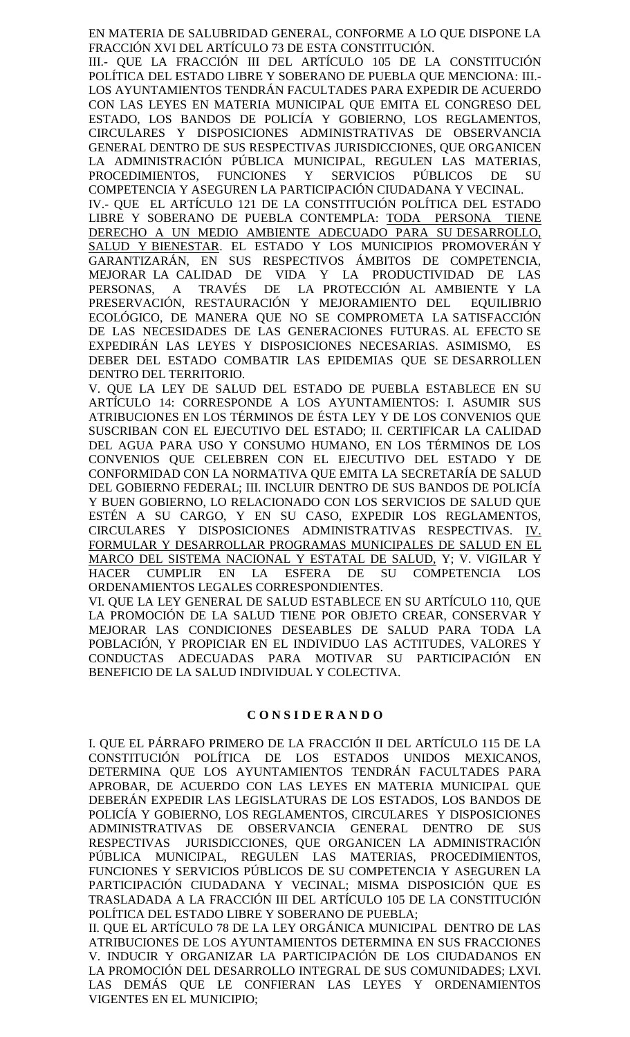EN MATERIA DE SALUBRIDAD GENERAL, CONFORME A LO QUE DISPONE LA FRACCIÓN XVI DEL ARTÍCULO 73 DE ESTA CONSTITUCIÓN.

III.- QUE LA FRACCIÓN III DEL ARTÍCULO 105 DE LA CONSTITUCIÓN POLÍTICA DEL ESTADO LIBRE Y SOBERANO DE PUEBLA QUE MENCIONA: III.- LOS AYUNTAMIENTOS TENDRÁN FACULTADES PARA EXPEDIR DE ACUERDO CON LAS LEYES EN MATERIA MUNICIPAL QUE EMITA EL CONGRESO DEL ESTADO, LOS BANDOS DE POLICÍA Y GOBIERNO, LOS REGLAMENTOS, CIRCULARES Y DISPOSICIONES ADMINISTRATIVAS DE OBSERVANCIA GENERAL DENTRO DE SUS RESPECTIVAS JURISDICCIONES, QUE ORGANICEN LA ADMINISTRACIÓN PÚBLICA MUNICIPAL, REGULEN LAS MATERIAS, PROCEDIMIENTOS, FUNCIONES Y SERVICIOS PÚBLICOS DE SU

COMPETENCIA Y ASEGUREN LA PARTICIPACIÓN CIUDADANA Y VECINAL. IV.- QUE EL ARTÍCULO 121 DE LA CONSTITUCIÓN POLÍTICA DEL ESTADO LIBRE Y SOBERANO DE PUEBLA CONTEMPLA: TODA PERSONA TIENE DERECHO A UN MEDIO AMBIENTE ADECUADO PARA SU DESARROLLO, SALUD Y BIENESTAR. EL ESTADO Y LOS MUNICIPIOS PROMOVERÁN Y GARANTIZARÁN, EN SUS RESPECTIVOS ÁMBITOS DE COMPETENCIA, MEJORAR LA CALIDAD DE VIDA Y LA PRODUCTIVIDAD DE LAS PERSONAS, A TRAVÉS DE LA PROTECCIÓN AL AMBIENTE Y LA PRESERVACIÓN, RESTAURACIÓN Y MEJORAMIENTO DEL EQUILIBRIO ECOLÓGICO, DE MANERA QUE NO SE COMPROMETA LA SATISFACCIÓN DE LAS NECESIDADES DE LAS GENERACIONES FUTURAS. AL EFECTO SE EXPEDIRÁN LAS LEYES Y DISPOSICIONES NECESARIAS. ASIMISMO, ES DEBER DEL ESTADO COMBATIR LAS EPIDEMIAS QUE SE DESARROLLEN DENTRO DEL TERRITORIO.

V. QUE LA LEY DE SALUD DEL ESTADO DE PUEBLA ESTABLECE EN SU ARTÍCULO 14: CORRESPONDE A LOS AYUNTAMIENTOS: I. ASUMIR SUS ATRIBUCIONES EN LOS TÉRMINOS DE ÉSTA LEY Y DE LOS CONVENIOS QUE SUSCRIBAN CON EL EJECUTIVO DEL ESTADO; II. CERTIFICAR LA CALIDAD DEL AGUA PARA USO Y CONSUMO HUMANO, EN LOS TÉRMINOS DE LOS CONVENIOS QUE CELEBREN CON EL EJECUTIVO DEL ESTADO Y DE CONFORMIDAD CON LA NORMATIVA QUE EMITA LA SECRETARÍA DE SALUD DEL GOBIERNO FEDERAL; III. INCLUIR DENTRO DE SUS BANDOS DE POLICÍA Y BUEN GOBIERNO, LO RELACIONADO CON LOS SERVICIOS DE SALUD QUE ESTÉN A SU CARGO, Y EN SU CASO, EXPEDIR LOS REGLAMENTOS, CIRCULARES Y DISPOSICIONES ADMINISTRATIVAS RESPECTIVAS. IV. FORMULAR Y DESARROLLAR PROGRAMAS MUNICIPALES DE SALUD EN EL MARCO DEL SISTEMA NACIONAL Y ESTATAL DE SALUD, Y; V. VIGILAR Y HACER CUMPLIR EN LA ESFERA DE SU COMPETENCIA LOS ORDENAMIENTOS LEGALES CORRESPONDIENTES.

VI. QUE LA LEY GENERAL DE SALUD ESTABLECE EN SU ARTÍCULO 110, QUE LA PROMOCIÓN DE LA SALUD TIENE POR OBJETO CREAR, CONSERVAR Y MEJORAR LAS CONDICIONES DESEABLES DE SALUD PARA TODA LA POBLACIÓN, Y PROPICIAR EN EL INDIVIDUO LAS ACTITUDES, VALORES Y CONDUCTAS ADECUADAS PARA MOTIVAR SU PARTICIPACIÓN EN BENEFICIO DE LA SALUD INDIVIDUAL Y COLECTIVA.

#### **C O N S I D E R A N D O**

I. QUE EL PÁRRAFO PRIMERO DE LA FRACCIÓN II DEL ARTÍCULO 115 DE LA CONSTITUCIÓN POLÍTICA DE LOS ESTADOS UNIDOS MEXICANOS, DETERMINA QUE LOS AYUNTAMIENTOS TENDRÁN FACULTADES PARA APROBAR, DE ACUERDO CON LAS LEYES EN MATERIA MUNICIPAL QUE DEBERÁN EXPEDIR LAS LEGISLATURAS DE LOS ESTADOS, LOS BANDOS DE POLICÍA Y GOBIERNO, LOS REGLAMENTOS, CIRCULARES Y DISPOSICIONES ADMINISTRATIVAS DE OBSERVANCIA GENERAL DENTRO DE SUS RESPECTIVAS JURISDICCIONES, QUE ORGANICEN LA ADMINISTRACIÓN PÚBLICA MUNICIPAL, REGULEN LAS MATERIAS, PROCEDIMIENTOS, FUNCIONES Y SERVICIOS PÚBLICOS DE SU COMPETENCIA Y ASEGUREN LA PARTICIPACIÓN CIUDADANA Y VECINAL; MISMA DISPOSICIÓN QUE ES TRASLADADA A LA FRACCIÓN III DEL ARTÍCULO 105 DE LA CONSTITUCIÓN POLÍTICA DEL ESTADO LIBRE Y SOBERANO DE PUEBLA;

II. QUE EL ARTÍCULO 78 DE LA LEY ORGÁNICA MUNICIPAL DENTRO DE LAS ATRIBUCIONES DE LOS AYUNTAMIENTOS DETERMINA EN SUS FRACCIONES V. INDUCIR Y ORGANIZAR LA PARTICIPACIÓN DE LOS CIUDADANOS EN LA PROMOCIÓN DEL DESARROLLO INTEGRAL DE SUS COMUNIDADES; LXVI. LAS DEMÁS QUE LE CONFIERAN LAS LEYES Y ORDENAMIENTOS VIGENTES EN EL MUNICIPIO;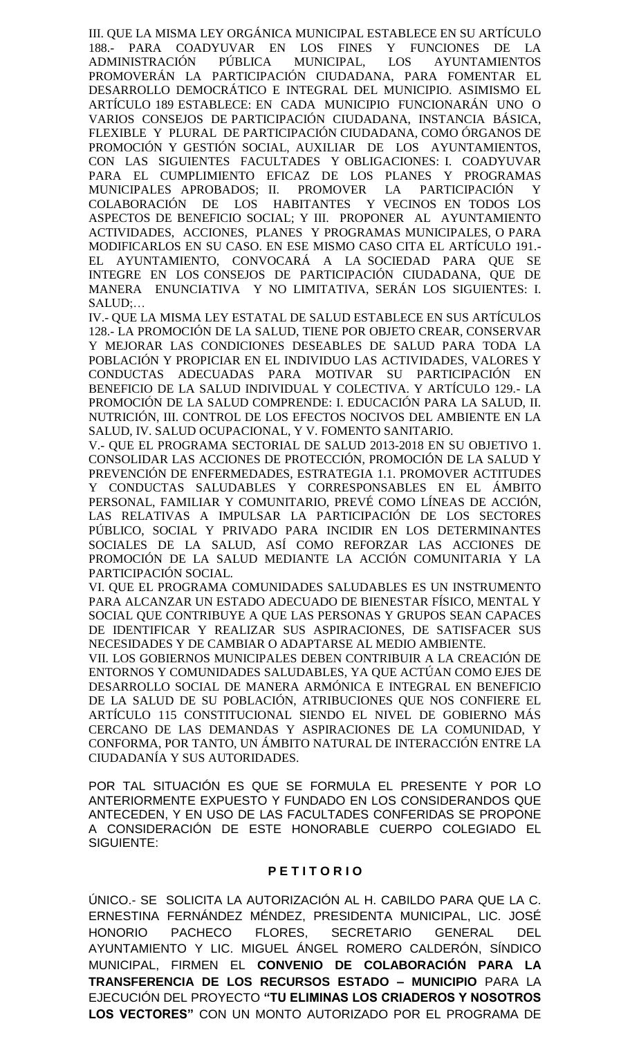III. QUE LA MISMA LEY ORGÁNICA MUNICIPAL ESTABLECE EN SU ARTÍCULO 188.- PARA COADYUVAR EN LOS FINES Y FUNCIONES DE LA ADMINISTRACIÓN PÚBLICA MUNICIPAL, LOS AYUNTAMIENTOS PROMOVERÁN LA PARTICIPACIÓN CIUDADANA, PARA FOMENTAR EL DESARROLLO DEMOCRÁTICO E INTEGRAL DEL MUNICIPIO. ASIMISMO EL ARTÍCULO 189 ESTABLECE: EN CADA MUNICIPIO FUNCIONARÁN UNO O VARIOS CONSEJOS DE PARTICIPACIÓN CIUDADANA, INSTANCIA BÁSICA, FLEXIBLE Y PLURAL DE PARTICIPACIÓN CIUDADANA, COMO ÓRGANOS DE PROMOCIÓN Y GESTIÓN SOCIAL, AUXILIAR DE LOS AYUNTAMIENTOS, CON LAS SIGUIENTES FACULTADES Y OBLIGACIONES: I. COADYUVAR PARA EL CUMPLIMIENTO EFICAZ DE LOS PLANES Y PROGRAMAS MUNICIPALES APROBADOS; II. PROMOVER LA PARTICIPACIÓN Y COLABORACIÓN DE LOS HABITANTES Y VECINOS EN TODOS LOS ASPECTOS DE BENEFICIO SOCIAL; Y III. PROPONER AL AYUNTAMIENTO ACTIVIDADES, ACCIONES, PLANES Y PROGRAMAS MUNICIPALES, O PARA MODIFICARLOS EN SU CASO. EN ESE MISMO CASO CITA EL ARTÍCULO 191.- EL AYUNTAMIENTO, CONVOCARÁ A LA SOCIEDAD PARA QUE SE INTEGRE EN LOS CONSEJOS DE PARTICIPACIÓN CIUDADANA, QUE DE MANERA ENUNCIATIVA Y NO LIMITATIVA, SERÁN LOS SIGUIENTES: I. SALUD;…

IV.- QUE LA MISMA LEY ESTATAL DE SALUD ESTABLECE EN SUS ARTÍCULOS 128.- LA PROMOCIÓN DE LA SALUD, TIENE POR OBJETO CREAR, CONSERVAR Y MEJORAR LAS CONDICIONES DESEABLES DE SALUD PARA TODA LA POBLACIÓN Y PROPICIAR EN EL INDIVIDUO LAS ACTIVIDADES, VALORES Y CONDUCTAS ADECUADAS PARA MOTIVAR SU PARTICIPACIÓN EN BENEFICIO DE LA SALUD INDIVIDUAL Y COLECTIVA. Y ARTÍCULO 129.- LA PROMOCIÓN DE LA SALUD COMPRENDE: I. EDUCACIÓN PARA LA SALUD, II. NUTRICIÓN, III. CONTROL DE LOS EFECTOS NOCIVOS DEL AMBIENTE EN LA SALUD, IV. SALUD OCUPACIONAL, Y V. FOMENTO SANITARIO.

V.- QUE EL PROGRAMA SECTORIAL DE SALUD 2013-2018 EN SU OBJETIVO 1. CONSOLIDAR LAS ACCIONES DE PROTECCIÓN, PROMOCIÓN DE LA SALUD Y PREVENCIÓN DE ENFERMEDADES, ESTRATEGIA 1.1. PROMOVER ACTITUDES Y CONDUCTAS SALUDABLES Y CORRESPONSABLES EN EL ÁMBITO PERSONAL, FAMILIAR Y COMUNITARIO, PREVÉ COMO LÍNEAS DE ACCIÓN, LAS RELATIVAS A IMPULSAR LA PARTICIPACIÓN DE LOS SECTORES PÚBLICO, SOCIAL Y PRIVADO PARA INCIDIR EN LOS DETERMINANTES SOCIALES DE LA SALUD, ASÍ COMO REFORZAR LAS ACCIONES DE PROMOCIÓN DE LA SALUD MEDIANTE LA ACCIÓN COMUNITARIA Y LA PARTICIPACIÓN SOCIAL.

VI. QUE EL PROGRAMA COMUNIDADES SALUDABLES ES UN INSTRUMENTO PARA ALCANZAR UN ESTADO ADECUADO DE BIENESTAR FÍSICO, MENTAL Y SOCIAL QUE CONTRIBUYE A QUE LAS PERSONAS Y GRUPOS SEAN CAPACES DE IDENTIFICAR Y REALIZAR SUS ASPIRACIONES, DE SATISFACER SUS NECESIDADES Y DE CAMBIAR O ADAPTARSE AL MEDIO AMBIENTE.

VII. LOS GOBIERNOS MUNICIPALES DEBEN CONTRIBUIR A LA CREACIÓN DE ENTORNOS Y COMUNIDADES SALUDABLES, YA QUE ACTÚAN COMO EJES DE DESARROLLO SOCIAL DE MANERA ARMÓNICA E INTEGRAL EN BENEFICIO DE LA SALUD DE SU POBLACIÓN, ATRIBUCIONES QUE NOS CONFIERE EL ARTÍCULO 115 CONSTITUCIONAL SIENDO EL NIVEL DE GOBIERNO MÁS CERCANO DE LAS DEMANDAS Y ASPIRACIONES DE LA COMUNIDAD, Y CONFORMA, POR TANTO, UN ÁMBITO NATURAL DE INTERACCIÓN ENTRE LA CIUDADANÍA Y SUS AUTORIDADES.

POR TAL SITUACIÓN ES QUE SE FORMULA EL PRESENTE Y POR LO ANTERIORMENTE EXPUESTO Y FUNDADO EN LOS CONSIDERANDOS QUE ANTECEDEN, Y EN USO DE LAS FACULTADES CONFERIDAS SE PROPONE A CONSIDERACIÓN DE ESTE HONORABLE CUERPO COLEGIADO EL SIGUIENTE:

## **P E T I T O R I O**

ÚNICO.- SE SOLICITA LA AUTORIZACIÓN AL H. CABILDO PARA QUE LA C. ERNESTINA FERNÁNDEZ MÉNDEZ, PRESIDENTA MUNICIPAL, LIC. JOSÉ HONORIO PACHECO FLORES, SECRETARIO GENERAL DEL AYUNTAMIENTO Y LIC. MIGUEL ÁNGEL ROMERO CALDERÓN, SÍNDICO MUNICIPAL, FIRMEN EL **CONVENIO DE COLABORACIÓN PARA LA TRANSFERENCIA DE LOS RECURSOS ESTADO – MUNICIPIO** PARA LA EJECUCIÓN DEL PROYECTO **"TU ELIMINAS LOS CRIADEROS Y NOSOTROS LOS VECTORES"** CON UN MONTO AUTORIZADO POR EL PROGRAMA DE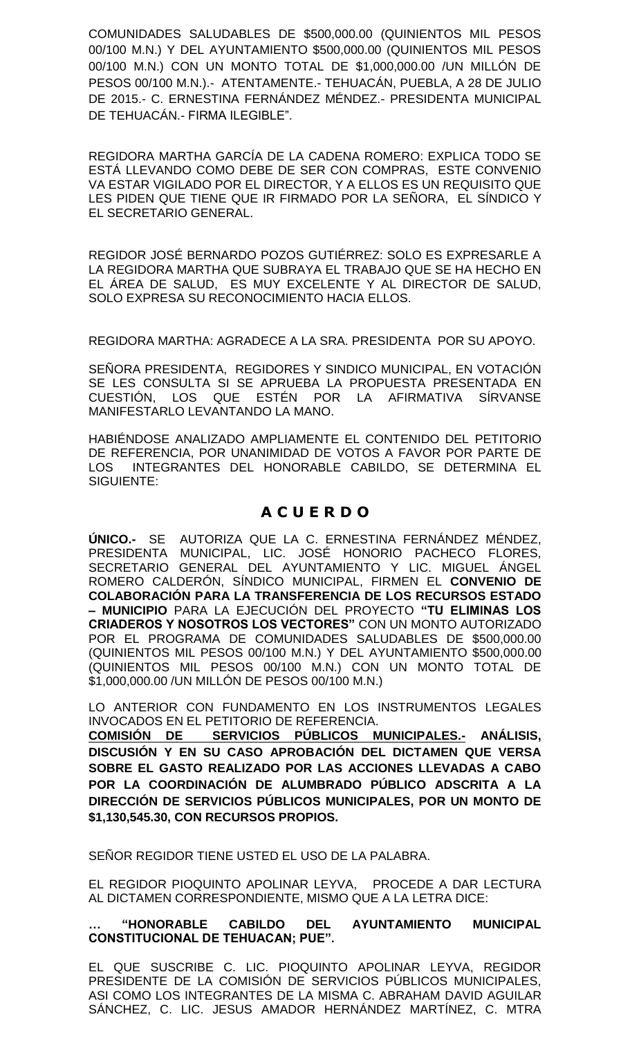COMUNIDADES SALUDABLES DE \$500,000.00 (QUINIENTOS MIL PESOS 00/100 M.N.) Y DEL AYUNTAMIENTO \$500,000.00 (QUINIENTOS MIL PESOS 00/100 M.N.) CON UN MONTO TOTAL DE \$1,000,000.00 /UN MILLÓN DE PESOS 00/100 M.N.).- ATENTAMENTE.- TEHUACÁN, PUEBLA, A 28 DE JULIO DE 2015.- C. ERNESTINA FERNÁNDEZ MÉNDEZ.- PRESIDENTA MUNICIPAL DE TEHUACÁN.- FIRMA ILEGIBLE".

REGIDORA MARTHA GARCÍA DE LA CADENA ROMERO: EXPLICA TODO SE ESTÁ LLEVANDO COMO DEBE DE SER CON COMPRAS, ESTE CONVENIO VA ESTAR VIGILADO POR EL DIRECTOR, Y A ELLOS ES UN REQUISITO QUE LES PIDEN QUE TIENE QUE IR FIRMADO POR LA SEÑORA, EL SÍNDICO Y EL SECRETARIO GENERAL.

REGIDOR JOSÉ BERNARDO POZOS GUTIÉRREZ: SOLO ES EXPRESARLE A LA REGIDORA MARTHA QUE SUBRAYA EL TRABAJO QUE SE HA HECHO EN EL ÁREA DE SALUD, ES MUY EXCELENTE Y AL DIRECTOR DE SALUD, SOLO EXPRESA SU RECONOCIMIENTO HACIA ELLOS.

REGIDORA MARTHA: AGRADECE A LA SRA. PRESIDENTA POR SU APOYO.

SEÑORA PRESIDENTA, REGIDORES Y SINDICO MUNICIPAL, EN VOTACIÓN SE LES CONSULTA SI SE APRUEBA LA PROPUESTA PRESENTADA EN CUESTIÓN, LOS QUE ESTÉN POR LA AFIRMATIVA SÍRVANSE MANIFESTARLO LEVANTANDO LA MANO.

HABIÉNDOSE ANALIZADO AMPLIAMENTE EL CONTENIDO DEL PETITORIO DE REFERENCIA, POR UNANIMIDAD DE VOTOS A FAVOR POR PARTE DE LOS INTEGRANTES DEL HONORABLE CABILDO, SE DETERMINA EL SIGUIENTE:

# **A C U E R D O**

**ÚNICO.-** SE AUTORIZA QUE LA C. ERNESTINA FERNÁNDEZ MÉNDEZ, PRESIDENTA MUNICIPAL, LIC. JOSÉ HONORIO PACHECO FLORES, SECRETARIO GENERAL DEL AYUNTAMIENTO Y LIC. MIGUEL ÁNGEL ROMERO CALDERÓN, SÍNDICO MUNICIPAL, FIRMEN EL **CONVENIO DE COLABORACIÓN PARA LA TRANSFERENCIA DE LOS RECURSOS ESTADO – MUNICIPIO** PARA LA EJECUCIÓN DEL PROYECTO **"TU ELIMINAS LOS CRIADEROS Y NOSOTROS LOS VECTORES"** CON UN MONTO AUTORIZADO POR EL PROGRAMA DE COMUNIDADES SALUDABLES DE \$500,000.00 (QUINIENTOS MIL PESOS 00/100 M.N.) Y DEL AYUNTAMIENTO \$500,000.00 (QUINIENTOS MIL PESOS 00/100 M.N.) CON UN MONTO TOTAL DE \$1,000,000.00 /UN MILLÓN DE PESOS 00/100 M.N.)

LO ANTERIOR CON FUNDAMENTO EN LOS INSTRUMENTOS LEGALES INVOCADOS EN EL PETITORIO DE REFERENCIA.

**COMISIÓN DE SERVICIOS PÚBLICOS MUNICIPALES.- ANÁLISIS, DISCUSIÓN Y EN SU CASO APROBACIÓN DEL DICTAMEN QUE VERSA SOBRE EL GASTO REALIZADO POR LAS ACCIONES LLEVADAS A CABO POR LA COORDINACIÓN DE ALUMBRADO PÚBLICO ADSCRITA A LA DIRECCIÓN DE SERVICIOS PÚBLICOS MUNICIPALES, POR UN MONTO DE \$1,130,545.30, CON RECURSOS PROPIOS.**

SENOR REGIDOR TIENE USTED EL USO DE LA PALABRA.

EL REGIDOR PIOQUINTO APOLINAR LEYVA, PROCEDE A DAR LECTURA AL DICTAMEN CORRESPONDIENTE, MISMO QUE A LA LETRA DICE:

### **… "HONORABLE CABILDO DEL AYUNTAMIENTO MUNICIPAL CONSTITUCIONAL DE TEHUACAN; PUE".**

EL QUE SUSCRIBE C. LIC. PIOQUINTO APOLINAR LEYVA, REGIDOR PRESIDENTE DE LA COMISIÓN DE SERVICIOS PÚBLICOS MUNICIPALES, ASI COMO LOS INTEGRANTES DE LA MISMA C. ABRAHAM DAVID AGUILAR SÁNCHEZ, C. LIC. JESUS AMADOR HERNÁNDEZ MARTÍNEZ, C. MTRA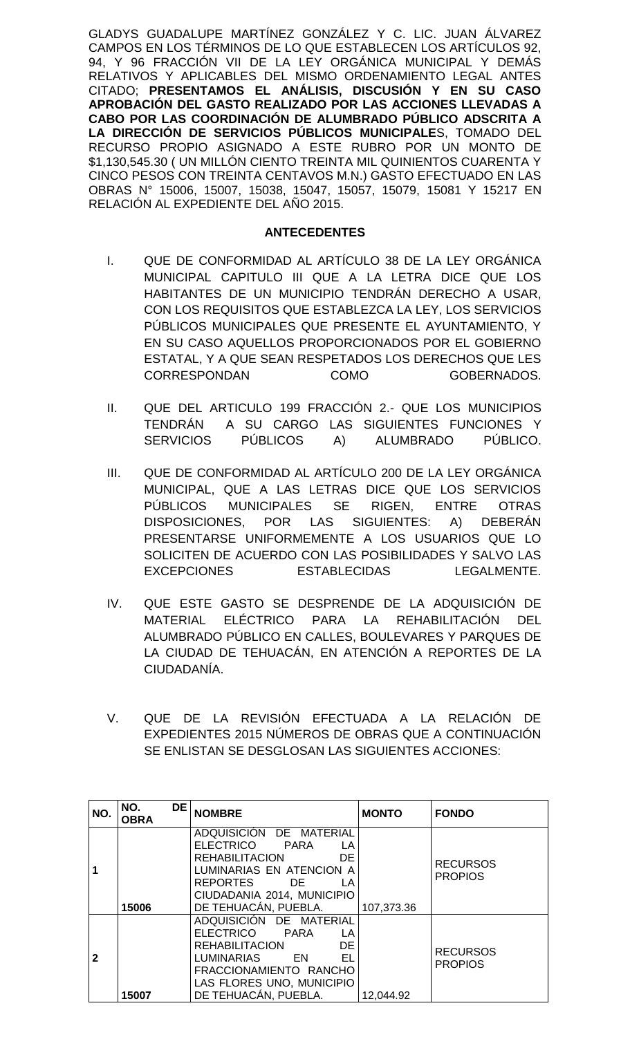GLADYS GUADALUPE MARTÍNEZ GONZÁLEZ Y C. LIC. JUAN ÁLVAREZ CAMPOS EN LOS TÉRMINOS DE LO QUE ESTABLECEN LOS ARTÍCULOS 92, 94, Y 96 FRACCIÓN VII DE LA LEY ORGÁNICA MUNICIPAL Y DEMÁS RELATIVOS Y APLICABLES DEL MISMO ORDENAMIENTO LEGAL ANTES CITADO; **PRESENTAMOS EL ANÁLISIS, DISCUSIÓN Y EN SU CASO APROBACIÓN DEL GASTO REALIZADO POR LAS ACCIONES LLEVADAS A CABO POR LAS COORDINACIÓN DE ALUMBRADO PÚBLICO ADSCRITA A LA DIRECCIÓN DE SERVICIOS PÚBLICOS MUNICIPALE**S, TOMADO DEL RECURSO PROPIO ASIGNADO A ESTE RUBRO POR UN MONTO DE \$1,130,545.30 ( UN MILLÓN CIENTO TREINTA MIL QUINIENTOS CUARENTA Y CINCO PESOS CON TREINTA CENTAVOS M.N.) GASTO EFECTUADO EN LAS OBRAS N° 15006, 15007, 15038, 15047, 15057, 15079, 15081 Y 15217 EN RELACIÓN AL EXPEDIENTE DEL AÑO 2015.

## **ANTECEDENTES**

- I. QUE DE CONFORMIDAD AL ARTÍCULO 38 DE LA LEY ORGÁNICA MUNICIPAL CAPITULO III QUE A LA LETRA DICE QUE LOS HABITANTES DE UN MUNICIPIO TENDRÁN DERECHO A USAR, CON LOS REQUISITOS QUE ESTABLEZCA LA LEY, LOS SERVICIOS PÚBLICOS MUNICIPALES QUE PRESENTE EL AYUNTAMIENTO, Y EN SU CASO AQUELLOS PROPORCIONADOS POR EL GOBIERNO ESTATAL, Y A QUE SEAN RESPETADOS LOS DERECHOS QUE LES CORRESPONDAN COMO GOBERNADOS.
- II. QUE DEL ARTICULO 199 FRACCIÓN 2.- QUE LOS MUNICIPIOS TENDRÁN A SU CARGO LAS SIGUIENTES FUNCIONES Y<br>SERVICIOS PÚBLICOS A) ALUMBRADO PÚBLICO. SERVICIOS PÚBLICOS A) ALUMBRADO PÚBLICO.
- III. QUE DE CONFORMIDAD AL ARTÍCULO 200 DE LA LEY ORGÁNICA MUNICIPAL, QUE A LAS LETRAS DICE QUE LOS SERVICIOS PÚBLICOS MUNICIPALES SE RIGEN, ENTRE OTRAS DISPOSICIONES, POR LAS SIGUIENTES: A) DEBERÁN PRESENTARSE UNIFORMEMENTE A LOS USUARIOS QUE LO SOLICITEN DE ACUERDO CON LAS POSIBILIDADES Y SALVO LAS EXCEPCIONES ESTABLECIDAS LEGALMENTE.
- IV. QUE ESTE GASTO SE DESPRENDE DE LA ADQUISICIÓN DE MATERIAL ELÉCTRICO PARA LA REHABILITACIÓN DEL ALUMBRADO PÚBLICO EN CALLES, BOULEVARES Y PARQUES DE LA CIUDAD DE TEHUACÁN, EN ATENCIÓN A REPORTES DE LA CIUDADANÍA.
- V. QUE DE LA REVISIÓN EFECTUADA A LA RELACIÓN DE EXPEDIENTES 2015 NÚMEROS DE OBRAS QUE A CONTINUACIÓN SE ENLISTAN SE DESGLOSAN LAS SIGUIENTES ACCIONES:

| NO.          | DE I<br>NO.<br><b>OBRA</b> | <b>NOMBRE</b>                                                                                                                                                                                   | <b>MONTO</b> | <b>FONDO</b>                      |
|--------------|----------------------------|-------------------------------------------------------------------------------------------------------------------------------------------------------------------------------------------------|--------------|-----------------------------------|
|              | 15006                      | ADQUISICIÓN DE MATERIAL<br>ELECTRICO<br>PARA<br>LA<br><b>REHABILITACION</b><br>DE.<br>LUMINARIAS EN ATENCION A<br>REPORTES<br>DE.<br>LA<br>CIUDADANIA 2014, MUNICIPIO<br>DE TEHUACÁN, PUEBLA.   | 107,373.36   | <b>RECURSOS</b><br><b>PROPIOS</b> |
| $\mathbf{2}$ | 15007                      | ADQUISICIÓN DE MATERIAL<br>ELECTRICO PARA<br>LA<br>DE.<br><b>REHABILITACION</b><br>EL<br>LUMINARIAS<br><b>EN</b><br>FRACCIONAMIENTO RANCHO<br>LAS FLORES UNO, MUNICIPIO<br>DE TEHUACÁN, PUEBLA. | 12,044.92    | <b>RECURSOS</b><br><b>PROPIOS</b> |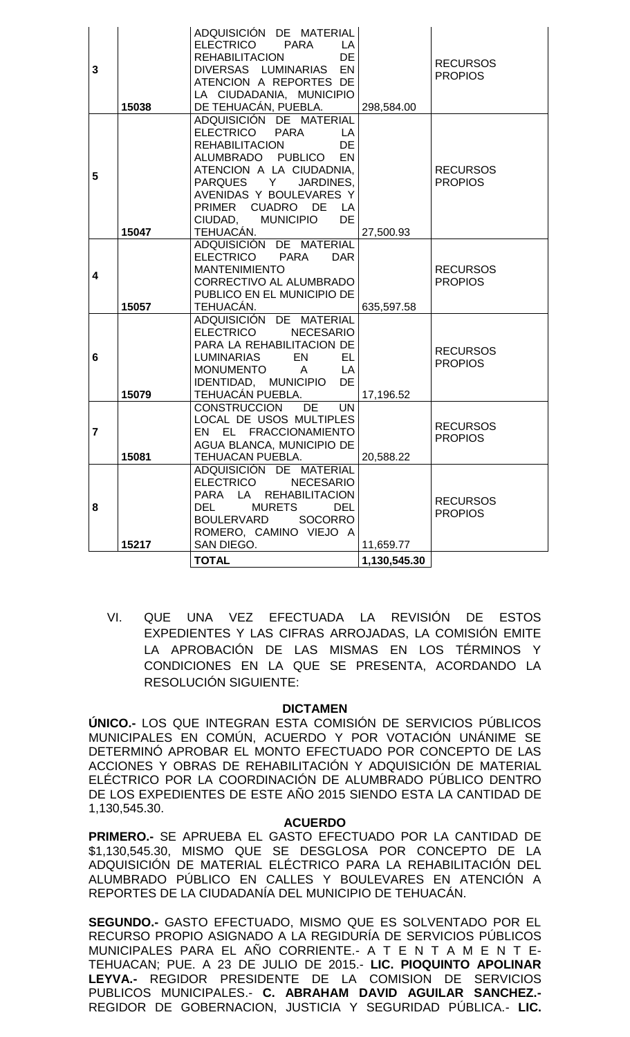| 3                       | 15038 | ADQUISICIÓN DE MATERIAL<br>ELECTRICO PARA<br>LA<br>DE<br>REHABILITACION<br>DIVERSAS LUMINARIAS EN<br>ATENCION A REPORTES DE<br>LA CIUDADANIA, MUNICIPIO<br>DE TEHUACÁN, PUEBLA.                                                                                            | 298,584.00   | <b>RECURSOS</b><br><b>PROPIOS</b> |
|-------------------------|-------|----------------------------------------------------------------------------------------------------------------------------------------------------------------------------------------------------------------------------------------------------------------------------|--------------|-----------------------------------|
| 5                       | 15047 | ADQUISICIÓN DE MATERIAL<br>ELECTRICO PARA<br>LA<br>DE<br><b>REHABILITACION</b><br>ALUMBRADO PUBLICO<br><b>EN</b><br>ATENCION A LA CIUDADNIA,<br>PARQUES Y<br>JARDINES,<br>AVENIDAS Y BOULEVARES Y<br>PRIMER CUADRO DE<br>LA<br>CIUDAD, MUNICIPIO<br><b>DE</b><br>TEHUACÁN. | 27,500.93    | <b>RECURSOS</b><br><b>PROPIOS</b> |
| 4                       | 15057 | ADQUISICIÓN DE MATERIAL<br>ELECTRICO PARA<br><b>DAR</b><br><b>MANTENIMIENTO</b><br>CORRECTIVO AL ALUMBRADO<br>PUBLICO EN EL MUNICIPIO DE<br>TEHUACÁN.                                                                                                                      | 635,597.58   | <b>RECURSOS</b><br><b>PROPIOS</b> |
| 6                       | 15079 | ADQUISICIÓN DE MATERIAL<br><b>ELECTRICO</b><br><b>NECESARIO</b><br>PARA LA REHABILITACION DE<br>EL.<br>LUMINARIAS<br>EN<br>MONUMENTO A<br><b>LA</b><br>IDENTIDAD, MUNICIPIO DE<br>TEHUACÁN PUEBLA.                                                                         | 17,196.52    | <b>RECURSOS</b><br><b>PROPIOS</b> |
| $\overline{\mathbf{r}}$ | 15081 | CONSTRUCCION<br><b>DE</b><br><b>UN</b><br>LOCAL DE USOS MULTIPLES<br>EN EL FRACCIONAMIENTO<br>AGUA BLANCA, MUNICIPIO DE<br>TEHUACAN PUEBLA.                                                                                                                                | 20,588.22    | <b>RECURSOS</b><br><b>PROPIOS</b> |
| 8                       | 15217 | ADQUISICIÓN DE MATERIAL<br>ELECTRICO NECESARIO<br>PARA LA REHABILITACION<br>DEL<br><b>MURETS</b><br><b>DEL</b><br><b>BOULERVARD</b><br>SOCORRO<br>ROMERO, CAMINO VIEJO A<br>SAN DIEGO.                                                                                     | 11,659.77    | <b>RECURSOS</b><br><b>PROPIOS</b> |
|                         |       | <b>TOTAL</b>                                                                                                                                                                                                                                                               | 1,130,545.30 |                                   |

VI. QUE UNA VEZ EFECTUADA LA REVISIÓN DE ESTOS EXPEDIENTES Y LAS CIFRAS ARROJADAS, LA COMISIÓN EMITE LA APROBACIÓN DE LAS MISMAS EN LOS TÉRMINOS Y CONDICIONES EN LA QUE SE PRESENTA, ACORDANDO LA RESOLUCIÓN SIGUIENTE:

#### **DICTAMEN**

**ÚNICO.-** LOS QUE INTEGRAN ESTA COMISIÓN DE SERVICIOS PÚBLICOS MUNICIPALES EN COMÚN, ACUERDO Y POR VOTACIÓN UNÁNIME SE DETERMINÓ APROBAR EL MONTO EFECTUADO POR CONCEPTO DE LAS ACCIONES Y OBRAS DE REHABILITACIÓN Y ADQUISICIÓN DE MATERIAL ELÉCTRICO POR LA COORDINACIÓN DE ALUMBRADO PÚBLICO DENTRO DE LOS EXPEDIENTES DE ESTE AÑO 2015 SIENDO ESTA LA CANTIDAD DE 1,130,545.30.

## **ACUERDO**

**PRIMERO.-** SE APRUEBA EL GASTO EFECTUADO POR LA CANTIDAD DE \$1,130,545.30, MISMO QUE SE DESGLOSA POR CONCEPTO DE LA ADQUISICIÓN DE MATERIAL ELÉCTRICO PARA LA REHABILITACIÓN DEL ALUMBRADO PÚBLICO EN CALLES Y BOULEVARES EN ATENCIÓN A REPORTES DE LA CIUDADANÍA DEL MUNICIPIO DE TEHUACÁN.

**SEGUNDO.-** GASTO EFECTUADO, MISMO QUE ES SOLVENTADO POR EL RECURSO PROPIO ASIGNADO A LA REGIDURÍA DE SERVICIOS PÚBLICOS MUNICIPALES PARA EL AÑO CORRIENTE.- A T E N T A M E N T E-TEHUACAN; PUE. A 23 DE JULIO DE 2015.- **LIC. PIOQUINTO APOLINAR LEYVA.-** REGIDOR PRESIDENTE DE LA COMISION DE SERVICIOS PUBLICOS MUNICIPALES.- **C. ABRAHAM DAVID AGUILAR SANCHEZ.-** REGIDOR DE GOBERNACION, JUSTICIA Y SEGURIDAD PÚBLICA.- **LIC.**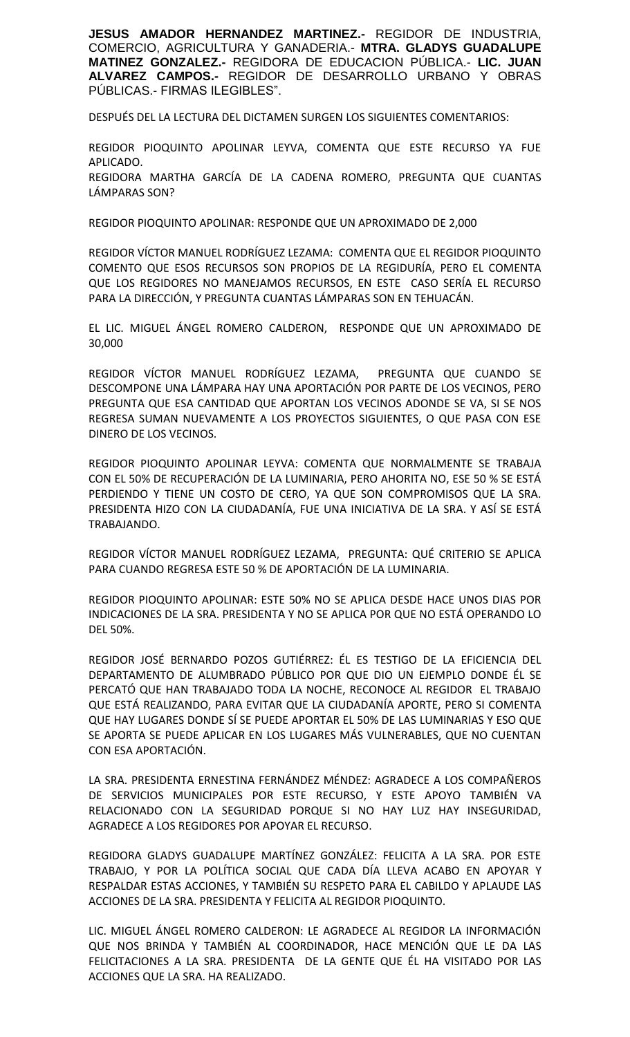**JESUS AMADOR HERNANDEZ MARTINEZ.-** REGIDOR DE INDUSTRIA, COMERCIO, AGRICULTURA Y GANADERIA.- **MTRA. GLADYS GUADALUPE MATINEZ GONZALEZ.-** REGIDORA DE EDUCACION PÚBLICA.- **LIC. JUAN ALVAREZ CAMPOS.-** REGIDOR DE DESARROLLO URBANO Y OBRAS PÚBLICAS.- FIRMAS ILEGIBLES".

DESPUÉS DEL LA LECTURA DEL DICTAMEN SURGEN LOS SIGUIENTES COMENTARIOS:

REGIDOR PIOQUINTO APOLINAR LEYVA, COMENTA QUE ESTE RECURSO YA FUE APLICADO. REGIDORA MARTHA GARCÍA DE LA CADENA ROMERO, PREGUNTA QUE CUANTAS LÁMPARAS SON?

REGIDOR PIOQUINTO APOLINAR: RESPONDE QUE UN APROXIMADO DE 2,000

REGIDOR VÍCTOR MANUEL RODRÍGUEZ LEZAMA: COMENTA QUE EL REGIDOR PIOQUINTO COMENTO QUE ESOS RECURSOS SON PROPIOS DE LA REGIDURÍA, PERO EL COMENTA QUE LOS REGIDORES NO MANEJAMOS RECURSOS, EN ESTE CASO SERÍA EL RECURSO PARA LA DIRECCIÓN, Y PREGUNTA CUANTAS LÁMPARAS SON EN TEHUACÁN.

EL LIC. MIGUEL ÁNGEL ROMERO CALDERON, RESPONDE QUE UN APROXIMADO DE 30,000

REGIDOR VÍCTOR MANUEL RODRÍGUEZ LEZAMA, PREGUNTA QUE CUANDO SE DESCOMPONE UNA LÁMPARA HAY UNA APORTACIÓN POR PARTE DE LOS VECINOS, PERO PREGUNTA QUE ESA CANTIDAD QUE APORTAN LOS VECINOS ADONDE SE VA, SI SE NOS REGRESA SUMAN NUEVAMENTE A LOS PROYECTOS SIGUIENTES, O QUE PASA CON ESE DINERO DE LOS VECINOS.

REGIDOR PIOQUINTO APOLINAR LEYVA: COMENTA QUE NORMALMENTE SE TRABAJA CON EL 50% DE RECUPERACIÓN DE LA LUMINARIA, PERO AHORITA NO, ESE 50 % SE ESTÁ PERDIENDO Y TIENE UN COSTO DE CERO, YA QUE SON COMPROMISOS QUE LA SRA. PRESIDENTA HIZO CON LA CIUDADANÍA, FUE UNA INICIATIVA DE LA SRA. Y ASÍ SE ESTÁ TRABAJANDO.

REGIDOR VÍCTOR MANUEL RODRÍGUEZ LEZAMA, PREGUNTA: QUÉ CRITERIO SE APLICA PARA CUANDO REGRESA ESTE 50 % DE APORTACIÓN DE LA LUMINARIA.

REGIDOR PIOQUINTO APOLINAR: ESTE 50% NO SE APLICA DESDE HACE UNOS DIAS POR INDICACIONES DE LA SRA. PRESIDENTA Y NO SE APLICA POR QUE NO ESTÁ OPERANDO LO DEL 50%.

REGIDOR JOSÉ BERNARDO POZOS GUTIÉRREZ: ÉL ES TESTIGO DE LA EFICIENCIA DEL DEPARTAMENTO DE ALUMBRADO PÚBLICO POR QUE DIO UN EJEMPLO DONDE ÉL SE PERCATÓ QUE HAN TRABAJADO TODA LA NOCHE, RECONOCE AL REGIDOR EL TRABAJO QUE ESTÁ REALIZANDO, PARA EVITAR QUE LA CIUDADANÍA APORTE, PERO SI COMENTA QUE HAY LUGARES DONDE SÍ SE PUEDE APORTAR EL 50% DE LAS LUMINARIAS Y ESO QUE SE APORTA SE PUEDE APLICAR EN LOS LUGARES MÁS VULNERABLES, QUE NO CUENTAN CON ESA APORTACIÓN.

LA SRA. PRESIDENTA ERNESTINA FERNÁNDEZ MÉNDEZ: AGRADECE A LOS COMPAÑEROS DE SERVICIOS MUNICIPALES POR ESTE RECURSO, Y ESTE APOYO TAMBIÉN VA RELACIONADO CON LA SEGURIDAD PORQUE SI NO HAY LUZ HAY INSEGURIDAD, AGRADECE A LOS REGIDORES POR APOYAR EL RECURSO.

REGIDORA GLADYS GUADALUPE MARTÍNEZ GONZÁLEZ: FELICITA A LA SRA. POR ESTE TRABAJO, Y POR LA POLÍTICA SOCIAL QUE CADA DÍA LLEVA ACABO EN APOYAR Y RESPALDAR ESTAS ACCIONES, Y TAMBIÉN SU RESPETO PARA EL CABILDO Y APLAUDE LAS ACCIONES DE LA SRA. PRESIDENTA Y FELICITA AL REGIDOR PIOQUINTO.

LIC. MIGUEL ÁNGEL ROMERO CALDERON: LE AGRADECE AL REGIDOR LA INFORMACIÓN QUE NOS BRINDA Y TAMBIÉN AL COORDINADOR, HACE MENCIÓN QUE LE DA LAS FELICITACIONES A LA SRA. PRESIDENTA DE LA GENTE QUE ÉL HA VISITADO POR LAS ACCIONES QUE LA SRA. HA REALIZADO.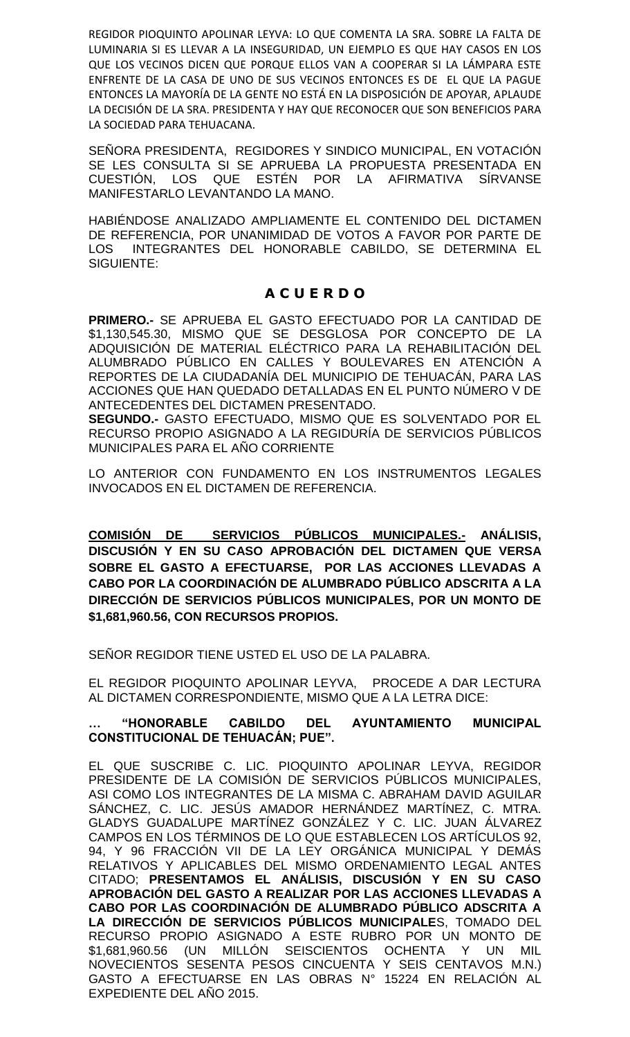REGIDOR PIOQUINTO APOLINAR LEYVA: LO QUE COMENTA LA SRA. SOBRE LA FALTA DE LUMINARIA SI ES LLEVAR A LA INSEGURIDAD, UN EJEMPLO ES QUE HAY CASOS EN LOS QUE LOS VECINOS DICEN QUE PORQUE ELLOS VAN A COOPERAR SI LA LÁMPARA ESTE ENFRENTE DE LA CASA DE UNO DE SUS VECINOS ENTONCES ES DE EL QUE LA PAGUE ENTONCES LA MAYORÍA DE LA GENTE NO ESTÁ EN LA DISPOSICIÓN DE APOYAR, APLAUDE LA DECISIÓN DE LA SRA. PRESIDENTA Y HAY QUE RECONOCER QUE SON BENEFICIOS PARA LA SOCIEDAD PARA TEHUACANA.

SEÑORA PRESIDENTA, REGIDORES Y SINDICO MUNICIPAL, EN VOTACIÓN SE LES CONSULTA SI SE APRUEBA LA PROPUESTA PRESENTADA EN CUESTIÓN, LOS QUE ESTÉN POR LA AFIRMATIVA SÍRVANSE MANIFESTARLO LEVANTANDO LA MANO.

HABIÉNDOSE ANALIZADO AMPLIAMENTE EL CONTENIDO DEL DICTAMEN DE REFERENCIA, POR UNANIMIDAD DE VOTOS A FAVOR POR PARTE DE LOS INTEGRANTES DEL HONORABLE CABILDO, SE DETERMINA EL SIGUIENTE:

## **A C U E R D O**

**PRIMERO.-** SE APRUEBA EL GASTO EFECTUADO POR LA CANTIDAD DE \$1,130,545.30, MISMO QUE SE DESGLOSA POR CONCEPTO DE LA ADQUISICIÓN DE MATERIAL ELÉCTRICO PARA LA REHABILITACIÓN DEL ALUMBRADO PÚBLICO EN CALLES Y BOULEVARES EN ATENCIÓN A REPORTES DE LA CIUDADANÍA DEL MUNICIPIO DE TEHUACÁN, PARA LAS ACCIONES QUE HAN QUEDADO DETALLADAS EN EL PUNTO NÚMERO V DE ANTECEDENTES DEL DICTAMEN PRESENTADO.

**SEGUNDO.-** GASTO EFECTUADO, MISMO QUE ES SOLVENTADO POR EL RECURSO PROPIO ASIGNADO A LA REGIDURÍA DE SERVICIOS PÚBLICOS MUNICIPALES PARA EL AÑO CORRIENTE

LO ANTERIOR CON FUNDAMENTO EN LOS INSTRUMENTOS LEGALES INVOCADOS EN EL DICTAMEN DE REFERENCIA.

**COMISIÓN DE SERVICIOS PÚBLICOS MUNICIPALES.- ANÁLISIS, DISCUSIÓN Y EN SU CASO APROBACIÓN DEL DICTAMEN QUE VERSA SOBRE EL GASTO A EFECTUARSE, POR LAS ACCIONES LLEVADAS A CABO POR LA COORDINACIÓN DE ALUMBRADO PÚBLICO ADSCRITA A LA DIRECCIÓN DE SERVICIOS PÚBLICOS MUNICIPALES, POR UN MONTO DE \$1,681,960.56, CON RECURSOS PROPIOS.**

SEÑOR REGIDOR TIENE USTED EL USO DE LA PALABRA.

EL REGIDOR PIOQUINTO APOLINAR LEYVA, PROCEDE A DAR LECTURA AL DICTAMEN CORRESPONDIENTE, MISMO QUE A LA LETRA DICE:

## **… "HONORABLE CABILDO DEL AYUNTAMIENTO MUNICIPAL CONSTITUCIONAL DE TEHUACÁN; PUE".**

EL QUE SUSCRIBE C. LIC. PIOQUINTO APOLINAR LEYVA, REGIDOR PRESIDENTE DE LA COMISIÓN DE SERVICIOS PÚBLICOS MUNICIPALES, ASI COMO LOS INTEGRANTES DE LA MISMA C. ABRAHAM DAVID AGUILAR SÁNCHEZ, C. LIC. JESÚS AMADOR HERNÁNDEZ MARTÍNEZ, C. MTRA. GLADYS GUADALUPE MARTÍNEZ GONZÁLEZ Y C. LIC. JUAN ÁLVAREZ CAMPOS EN LOS TÉRMINOS DE LO QUE ESTABLECEN LOS ARTÍCULOS 92, 94, Y 96 FRACCIÓN VII DE LA LEY ORGÁNICA MUNICIPAL Y DEMÁS RELATIVOS Y APLICABLES DEL MISMO ORDENAMIENTO LEGAL ANTES CITADO; **PRESENTAMOS EL ANÁLISIS, DISCUSIÓN Y EN SU CASO APROBACIÓN DEL GASTO A REALIZAR POR LAS ACCIONES LLEVADAS A CABO POR LAS COORDINACIÓN DE ALUMBRADO PÚBLICO ADSCRITA A LA DIRECCIÓN DE SERVICIOS PÚBLICOS MUNICIPALE**S, TOMADO DEL RECURSO PROPIO ASIGNADO A ESTE RUBRO POR UN MONTO DE \$1,681,960.56 (UN MILLÓN SEISCIENTOS OCHENTA Y UN MIL NOVECIENTOS SESENTA PESOS CINCUENTA Y SEIS CENTAVOS M.N.) GASTO A EFECTUARSE EN LAS OBRAS N° 15224 EN RELACIÓN AL EXPEDIENTE DEL AÑO 2015.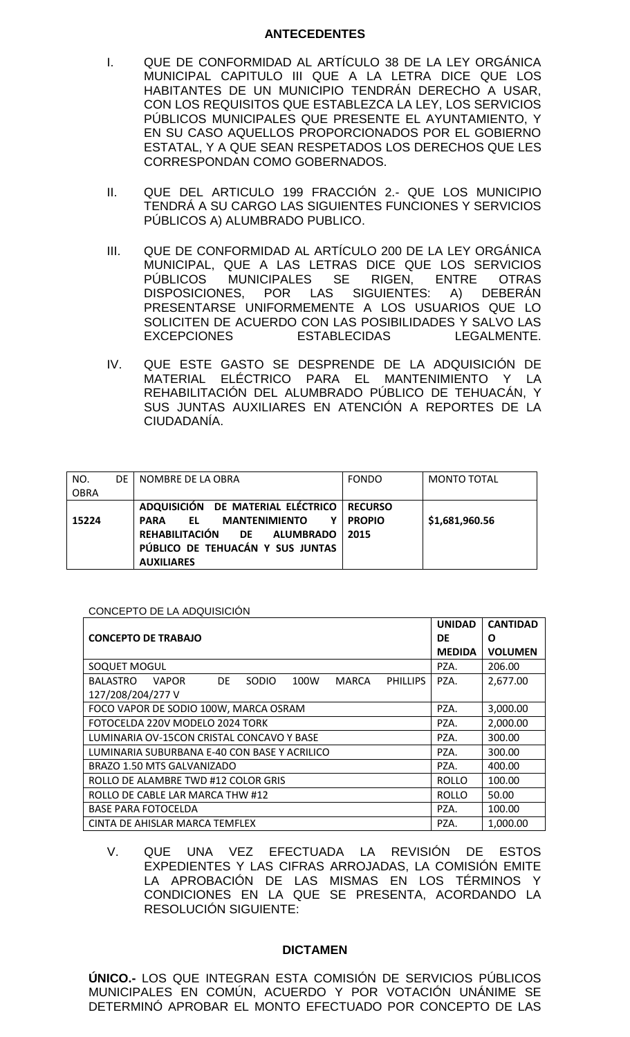#### **ANTECEDENTES**

- I. QUE DE CONFORMIDAD AL ARTÍCULO 38 DE LA LEY ORGÁNICA MUNICIPAL CAPITULO III QUE A LA LETRA DICE QUE LOS HABITANTES DE UN MUNICIPIO TENDRÁN DERECHO A USAR, CON LOS REQUISITOS QUE ESTABLEZCA LA LEY, LOS SERVICIOS PÚBLICOS MUNICIPALES QUE PRESENTE EL AYUNTAMIENTO, Y EN SU CASO AQUELLOS PROPORCIONADOS POR EL GOBIERNO ESTATAL, Y A QUE SEAN RESPETADOS LOS DERECHOS QUE LES CORRESPONDAN COMO GOBERNADOS.
- II. QUE DEL ARTICULO 199 FRACCIÓN 2.- QUE LOS MUNICIPIO TENDRÁ A SU CARGO LAS SIGUIENTES FUNCIONES Y SERVICIOS PÚBLICOS A) ALUMBRADO PUBLICO.
- III. QUE DE CONFORMIDAD AL ARTÍCULO 200 DE LA LEY ORGÁNICA MUNICIPAL, QUE A LAS LETRAS DICE QUE LOS SERVICIOS PÚBLICOS MUNICIPALES SE RIGEN, ENTRE OTRAS DISPOSICIONES, POR LAS SIGUIENTES: A) DEBERÁN PRESENTARSE UNIFORMEMENTE A LOS USUARIOS QUE LO SOLICITEN DE ACUERDO CON LAS POSIBILIDADES Y SALVO LAS EXCEPCIONES ESTABLECIDAS LEGALMENTE.
- IV. QUE ESTE GASTO SE DESPRENDE DE LA ADQUISICIÓN DE MATERIAL ELÉCTRICO PARA EL MANTENIMIENTO Y LA REHABILITACIÓN DEL ALUMBRADO PÚBLICO DE TEHUACÁN, Y SUS JUNTAS AUXILIARES EN ATENCIÓN A REPORTES DE LA CIUDADANÍA.

| NO.         | DE | NOMBRE DE LA OBRA                                | <b>FONDO</b>   | <b>MONTO TOTAL</b> |
|-------------|----|--------------------------------------------------|----------------|--------------------|
| <b>OBRA</b> |    |                                                  |                |                    |
|             |    | ADQUISICIÓN DE MATERIAL ELÉCTRICO                | <b>RECURSO</b> |                    |
| 15224       |    | <b>MANTENIMIENTO</b><br>Υ<br>EL .<br><b>PARA</b> | <b>PROPIO</b>  | \$1,681,960.56     |
|             |    | REHABILITACIÓN DE ALUMBRADO                      | 2015           |                    |
|             |    | PÚBLICO DE TEHUACÁN Y SUS JUNTAS                 |                |                    |
|             |    | <b>AUXILIARES</b>                                |                |                    |

## CONCEPTO DE LA ADQUISICIÓN

|                                                                                            | <b>UNIDAD</b> | <b>CANTIDAD</b> |
|--------------------------------------------------------------------------------------------|---------------|-----------------|
| <b>CONCEPTO DE TRABAJO</b>                                                                 | DE            | O               |
|                                                                                            | <b>MEDIDA</b> | <b>VOLUMEN</b>  |
| SOQUET MOGUL                                                                               | PZA.          | 206.00          |
| <b>VAPOR</b><br>DE.<br><b>SODIO</b><br>100W<br><b>PHILLIPS</b><br><b>BALASTRO</b><br>MARCA | PZA.          | 2,677.00        |
| 127/208/204/277 V                                                                          |               |                 |
| FOCO VAPOR DE SODIO 100W, MARCA OSRAM                                                      | PZA.          | 3,000.00        |
| FOTOCELDA 220V MODELO 2024 TORK                                                            | PZA.          | 2,000.00        |
| LUMINARIA OV-15CON CRISTAL CONCAVO Y BASE                                                  | PZA.          | 300.00          |
| LUMINARIA SUBURBANA E-40 CON BASE Y ACRILICO                                               | PZA.          | 300.00          |
| BRAZO 1.50 MTS GALVANIZADO                                                                 | PZA.          | 400.00          |
| ROLLO DE ALAMBRE TWD #12 COLOR GRIS                                                        | <b>ROLLO</b>  | 100.00          |
| ROLLO DE CABLE LAR MARCA THW #12                                                           | <b>ROLLO</b>  | 50.00           |
| <b>BASE PARA FOTOCELDA</b>                                                                 | PZA.          | 100.00          |
| CINTA DE AHISLAR MARCA TEMFLEX                                                             | PZA.          | 1,000.00        |

V. QUE UNA VEZ EFECTUADA LA REVISIÓN DE ESTOS EXPEDIENTES Y LAS CIFRAS ARROJADAS, LA COMISIÓN EMITE LA APROBACIÓN DE LAS MISMAS EN LOS TÉRMINOS Y CONDICIONES EN LA QUE SE PRESENTA, ACORDANDO LA RESOLUCIÓN SIGUIENTE:

#### **DICTAMEN**

**ÚNICO.-** LOS QUE INTEGRAN ESTA COMISIÓN DE SERVICIOS PÚBLICOS MUNICIPALES EN COMÚN, ACUERDO Y POR VOTACIÓN UNÁNIME SE DETERMINÓ APROBAR EL MONTO EFECTUADO POR CONCEPTO DE LAS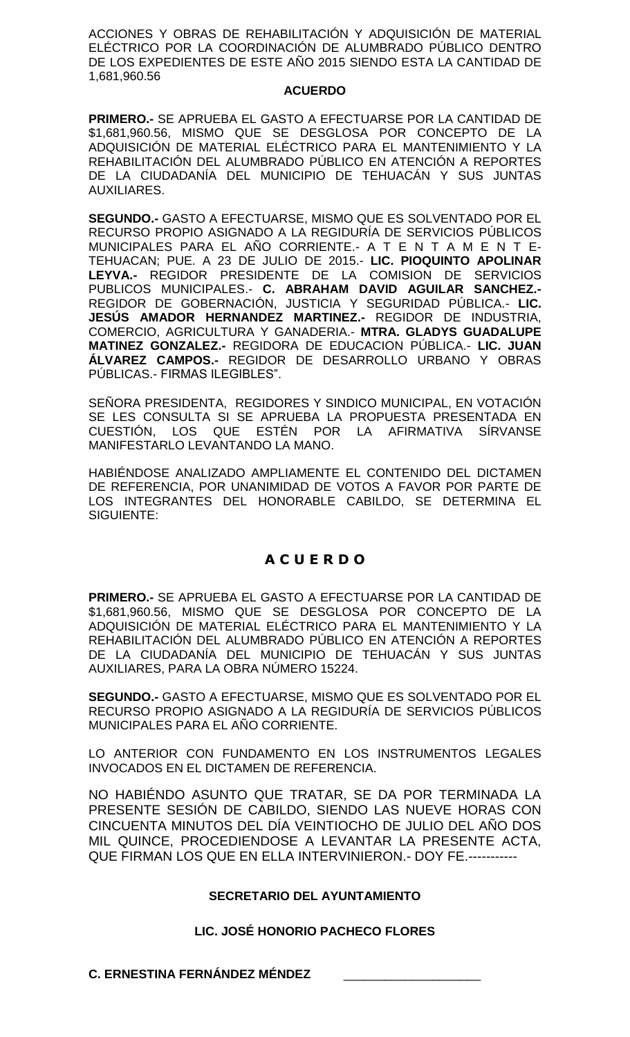ACCIONES Y OBRAS DE REHABILITACIÓN Y ADQUISICIÓN DE MATERIAL ELÉCTRICO POR LA COORDINACIÓN DE ALUMBRADO PÚBLICO DENTRO DE LOS EXPEDIENTES DE ESTE AÑO 2015 SIENDO ESTA LA CANTIDAD DE 1,681,960.56

#### **ACUERDO**

**PRIMERO.-** SE APRUEBA EL GASTO A EFECTUARSE POR LA CANTIDAD DE \$1,681,960.56, MISMO QUE SE DESGLOSA POR CONCEPTO DE LA ADQUISICIÓN DE MATERIAL ELÉCTRICO PARA EL MANTENIMIENTO Y LA REHABILITACIÓN DEL ALUMBRADO PÚBLICO EN ATENCIÓN A REPORTES DE LA CIUDADANÍA DEL MUNICIPIO DE TEHUACÁN Y SUS JUNTAS AUXILIARES.

**SEGUNDO.-** GASTO A EFECTUARSE, MISMO QUE ES SOLVENTADO POR EL RECURSO PROPIO ASIGNADO A LA REGIDURÍA DE SERVICIOS PÚBLICOS MUNICIPALES PARA EL AÑO CORRIENTE.- A T E N T A M E N T E-TEHUACAN; PUE. A 23 DE JULIO DE 2015.- **LIC. PIOQUINTO APOLINAR LEYVA.-** REGIDOR PRESIDENTE DE LA COMISION DE SERVICIOS PUBLICOS MUNICIPALES.- **C. ABRAHAM DAVID AGUILAR SANCHEZ.-** REGIDOR DE GOBERNACIÓN, JUSTICIA Y SEGURIDAD PÚBLICA.- **LIC. JESÚS AMADOR HERNANDEZ MARTINEZ.-** REGIDOR DE INDUSTRIA, COMERCIO, AGRICULTURA Y GANADERIA.- **MTRA. GLADYS GUADALUPE MATINEZ GONZALEZ.-** REGIDORA DE EDUCACION PÚBLICA.- **LIC. JUAN ÁLVAREZ CAMPOS.-** REGIDOR DE DESARROLLO URBANO Y OBRAS PÚBLICAS.- FIRMAS ILEGIBLES".

SEÑORA PRESIDENTA, REGIDORES Y SINDICO MUNICIPAL, EN VOTACIÓN SE LES CONSULTA SI SE APRUEBA LA PROPUESTA PRESENTADA EN CUESTIÓN, LOS QUE ESTÉN POR LA AFIRMATIVA SÍRVANSE MANIFESTARLO LEVANTANDO LA MANO.

HABIÉNDOSE ANALIZADO AMPLIAMENTE EL CONTENIDO DEL DICTAMEN DE REFERENCIA, POR UNANIMIDAD DE VOTOS A FAVOR POR PARTE DE LOS INTEGRANTES DEL HONORABLE CABILDO, SE DETERMINA EL SIGUIENTE:

# **A C U E R D O**

**PRIMERO.-** SE APRUEBA EL GASTO A EFECTUARSE POR LA CANTIDAD DE \$1,681,960.56, MISMO QUE SE DESGLOSA POR CONCEPTO DE LA ADQUISICIÓN DE MATERIAL ELÉCTRICO PARA EL MANTENIMIENTO Y LA REHABILITACIÓN DEL ALUMBRADO PÚBLICO EN ATENCIÓN A REPORTES DE LA CIUDADANÍA DEL MUNICIPIO DE TEHUACÁN Y SUS JUNTAS AUXILIARES, PARA LA OBRA NÚMERO 15224.

**SEGUNDO.-** GASTO A EFECTUARSE, MISMO QUE ES SOLVENTADO POR EL RECURSO PROPIO ASIGNADO A LA REGIDURÍA DE SERVICIOS PÚBLICOS MUNICIPALES PARA EL AÑO CORRIENTE.

LO ANTERIOR CON FUNDAMENTO EN LOS INSTRUMENTOS LEGALES INVOCADOS EN EL DICTAMEN DE REFERENCIA.

NO HABIÉNDO ASUNTO QUE TRATAR, SE DA POR TERMINADA LA PRESENTE SESIÓN DE CABILDO, SIENDO LAS NUEVE HORAS CON CINCUENTA MINUTOS DEL DÍA VEINTIOCHO DE JULIO DEL AÑO DOS MIL QUINCE, PROCEDIENDOSE A LEVANTAR LA PRESENTE ACTA, QUE FIRMAN LOS QUE EN ELLA INTERVINIERON.- DOY FE.-----------

## **SECRETARIO DEL AYUNTAMIENTO**

## **LIC. JOSÉ HONORIO PACHECO FLORES**

**C. ERNESTINA FERNÁNDEZ MÉNDEZ**